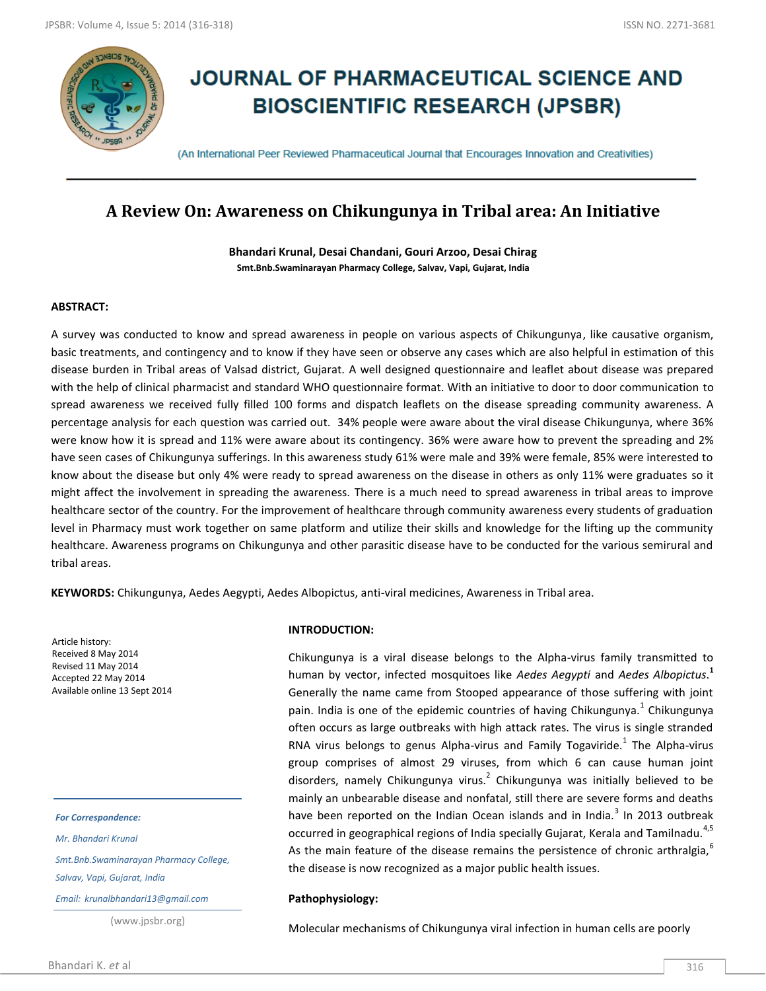

# **JOURNAL OF PHARMACEUTICAL SCIENCE AND BIOSCIENTIFIC RESEARCH (JPSBR)**

(An International Peer Reviewed Pharmaceutical Journal that Encourages Innovation and Creativities)

# **A Review On: Awareness on Chikungunya in Tribal area: An Initiative**

**Bhandari Krunal, Desai Chandani, Gouri Arzoo, Desai Chirag Smt.Bnb.Swaminarayan Pharmacy College, Salvav, Vapi, Gujarat, India**

# **ABSTRACT:**

A survey was conducted to know and spread awareness in people on various aspects of Chikungunya, like causative organism, basic treatments, and contingency and to know if they have seen or observe any cases which are also helpful in estimation of this disease burden in Tribal areas of Valsad district, Gujarat. A well designed questionnaire and leaflet about disease was prepared with the help of clinical pharmacist and standard WHO questionnaire format. With an initiative to door to door communication to spread awareness we received fully filled 100 forms and dispatch leaflets on the disease spreading community awareness. A percentage analysis for each question was carried out. 34% people were aware about the viral disease Chikungunya, where 36% were know how it is spread and 11% were aware about its contingency. 36% were aware how to prevent the spreading and 2% have seen cases of Chikungunya sufferings. In this awareness study 61% were male and 39% were female, 85% were interested to know about the disease but only 4% were ready to spread awareness on the disease in others as only 11% were graduates so it might affect the involvement in spreading the awareness. There is a much need to spread awareness in tribal areas to improve healthcare sector of the country. For the improvement of healthcare through community awareness every students of graduation level in Pharmacy must work together on same platform and utilize their skills and knowledge for the lifting up the community healthcare. Awareness programs on Chikungunya and other parasitic disease have to be conducted for the various semirural and tribal areas.

**KEYWORDS:** Chikungunya, Aedes Aegypti, Aedes Albopictus, anti-viral medicines, Awareness in Tribal area.

Article history: Received 8 May 2014 Revised 11 May 2014 Accepted 22 May 2014 Available online 13 Sept 2014

#### *For Correspondence:*

*Mr. Bhandari Krunal*

*Smt.Bnb.Swaminarayan Pharmacy College,* 

*Salvav, Vapi, Gujarat, India*

*Email: krunalbhandari13@gmail.com*

(www.jpsbr.org)

### **INTRODUCTION:**

Chikungunya is a viral disease belongs to the Alpha-virus family transmitted to human by vector, infected mosquitoes like *Aedes Aegypti* and *Aedes Albopictus*. **1** Generally the name came from Stooped appearance of those suffering with joint pain. India is one of the epidemic countries of having Chikungunya.<sup>1</sup> Chikungunya often occurs as large outbreaks with high attack rates. The virus is single stranded RNA virus belongs to genus Alpha-virus and Family Togaviride. $^1$  The Alpha-virus group comprises of almost 29 viruses, from which 6 can cause human joint disorders, namely Chikungunya virus.<sup>2</sup> Chikungunya was initially believed to be mainly an unbearable disease and nonfatal, still there are severe forms and deaths have been reported on the Indian Ocean islands and in India. $^3$  In 2013 outbreak occurred in geographical regions of India specially Gujarat, Kerala and Tamilnadu.<sup>4,5</sup> As the main feature of the disease remains the persistence of chronic arthralgia, $\degree$ the disease is now recognized as a major public health issues.

## **Pathophysiology:**

Molecular mechanisms of Chikungunya viral infection in human cells are poorly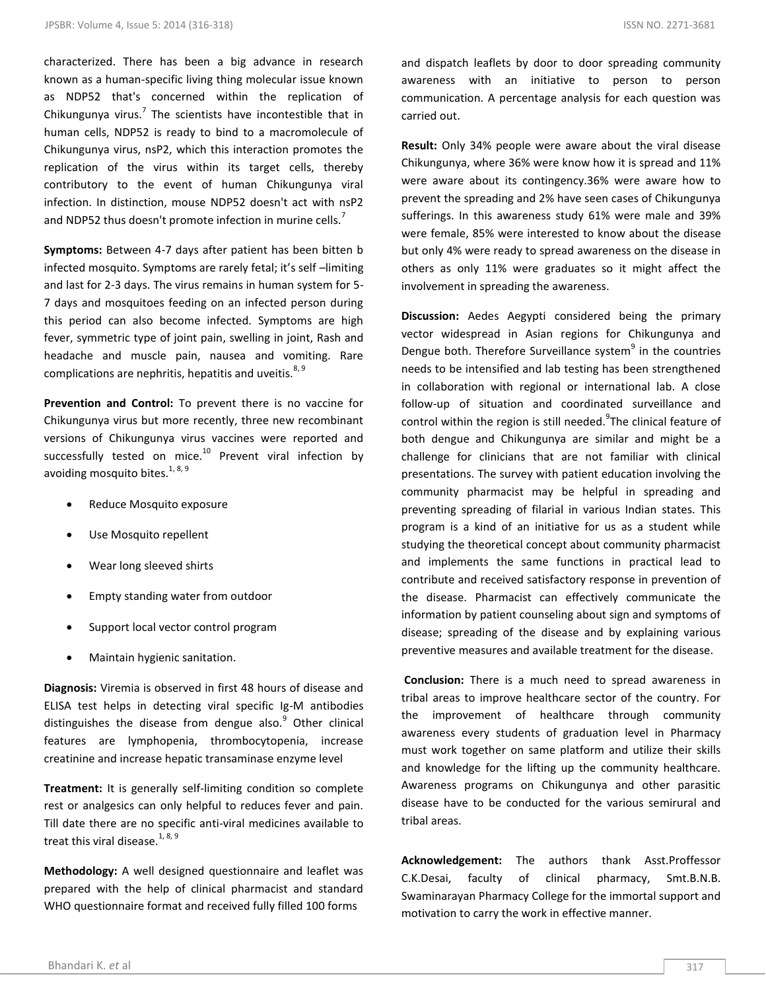characterized. There has been a big advance in research known as a human-specific living thing molecular issue known as NDP52 that's concerned within the replication of Chikungunya virus.<sup>7</sup> The scientists have incontestible that in human cells, NDP52 is ready to bind to a macromolecule of Chikungunya virus, nsP2, which this interaction promotes the replication of the virus within its target cells, thereby contributory to the event of human Chikungunya viral infection. In distinction, mouse NDP52 doesn't act with nsP2 and NDP52 thus doesn't promote infection in murine cells.<sup>7</sup>

**Symptoms:** Between 4-7 days after patient has been bitten b infected mosquito. Symptoms are rarely fetal; it's self –limiting and last for 2-3 days. The virus remains in human system for 5- 7 days and mosquitoes feeding on an infected person during this period can also become infected. Symptoms are high fever, symmetric type of joint pain, swelling in joint, Rash and headache and muscle pain, nausea and vomiting. Rare complications are nephritis, hepatitis and uveitis. $8,9$ 

**Prevention and Control:** To prevent there is no vaccine for Chikungunya virus but more recently, three new recombinant versions of Chikungunya virus vaccines were reported and successfully tested on mice.<sup>10</sup> Prevent viral infection by avoiding mosquito bites.<sup>1, 8, 9</sup>

- Reduce Mosquito exposure
- Use Mosquito repellent
- Wear long sleeved shirts
- Empty standing water from outdoor
- Support local vector control program
- Maintain hygienic sanitation.

**Diagnosis:** Viremia is observed in first 48 hours of disease and ELISA test helps in detecting viral specific Ig-M antibodies distinguishes the disease from dengue also.<sup>9</sup> Other clinical features are lymphopenia, thrombocytopenia, increase creatinine and increase hepatic transaminase enzyme level

**Treatment:** It is generally self-limiting condition so complete rest or analgesics can only helpful to reduces fever and pain. Till date there are no specific anti-viral medicines available to treat this viral disease.<sup>1, 8, 9</sup>

**Methodology:** A well designed questionnaire and leaflet was prepared with the help of clinical pharmacist and standard WHO questionnaire format and received fully filled 100 forms

and dispatch leaflets by door to door spreading community awareness with an initiative to person to person communication. A percentage analysis for each question was carried out.

**Result:** Only 34% people were aware about the viral disease Chikungunya, where 36% were know how it is spread and 11% were aware about its contingency.36% were aware how to prevent the spreading and 2% have seen cases of Chikungunya sufferings. In this awareness study 61% were male and 39% were female, 85% were interested to know about the disease but only 4% were ready to spread awareness on the disease in others as only 11% were graduates so it might affect the involvement in spreading the awareness.

**Discussion:** Aedes Aegypti considered being the primary vector widespread in Asian regions for Chikungunya and Dengue both. Therefore Surveillance system<sup>9</sup> in the countries needs to be intensified and lab testing has been strengthened in collaboration with regional or international lab. A close follow-up of situation and coordinated surveillance and control within the region is still needed. The clinical feature of both dengue and Chikungunya are similar and might be a challenge for clinicians that are not familiar with clinical presentations. The survey with patient education involving the community pharmacist may be helpful in spreading and preventing spreading of filarial in various Indian states. This program is a kind of an initiative for us as a student while studying the theoretical concept about community pharmacist and implements the same functions in practical lead to contribute and received satisfactory response in prevention of the disease. Pharmacist can effectively communicate the information by patient counseling about sign and symptoms of disease; spreading of the disease and by explaining various preventive measures and available treatment for the disease.

**Conclusion:** There is a much need to spread awareness in tribal areas to improve healthcare sector of the country. For the improvement of healthcare through community awareness every students of graduation level in Pharmacy must work together on same platform and utilize their skills and knowledge for the lifting up the community healthcare. Awareness programs on Chikungunya and other parasitic disease have to be conducted for the various semirural and tribal areas.

**Acknowledgement:** The authors thank Asst.Proffessor C.K.Desai, faculty of clinical pharmacy, Smt.B.N.B. Swaminarayan Pharmacy College for the immortal support and motivation to carry the work in effective manner.